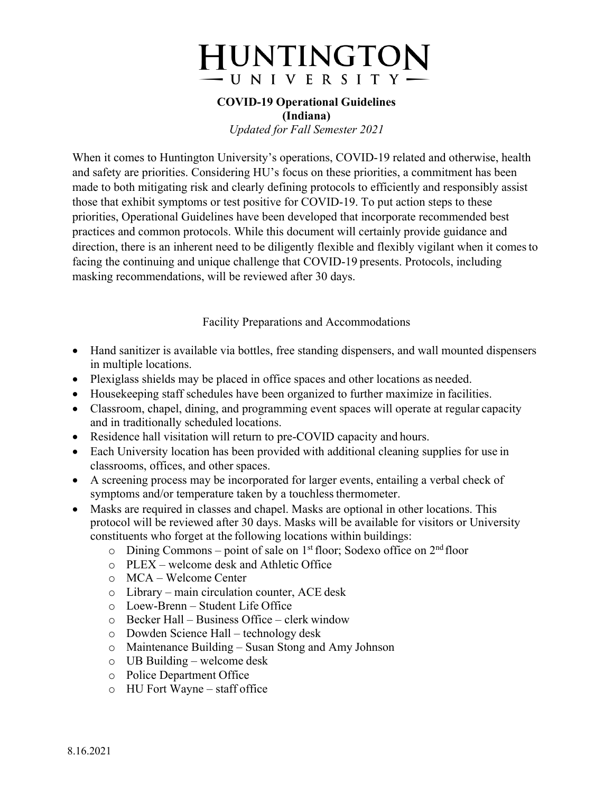# **HUNTINGTON** -UNIVERSITY

#### **COVID-19 Operational Guidelines (Indiana)**

*Updated for Fall Semester 2021*

When it comes to Huntington University's operations, COVID-19 related and otherwise, health and safety are priorities. Considering HU's focus on these priorities, a commitment has been made to both mitigating risk and clearly defining protocols to efficiently and responsibly assist those that exhibit symptoms or test positive for COVID-19. To put action steps to these priorities, Operational Guidelines have been developed that incorporate recommended best practices and common protocols. While this document will certainly provide guidance and direction, there is an inherent need to be diligently flexible and flexibly vigilant when it comesto facing the continuing and unique challenge that COVID-19 presents. Protocols, including masking recommendations, will be reviewed after 30 days.

Facility Preparations and Accommodations

- Hand sanitizer is available via bottles, free standing dispensers, and wall mounted dispensers in multiple locations.
- Plexiglass shields may be placed in office spaces and other locations as needed.
- Housekeeping staff schedules have been organized to further maximize in facilities.
- Classroom, chapel, dining, and programming event spaces will operate at regular capacity and in traditionally scheduled locations.
- Residence hall visitation will return to pre-COVID capacity and hours.
- Each University location has been provided with additional cleaning supplies for use in classrooms, offices, and other spaces.
- A screening process may be incorporated for larger events, entailing a verbal check of symptoms and/or temperature taken by a touchless thermometer.
- Masks are required in classes and chapel. Masks are optional in other locations. This protocol will be reviewed after 30 days. Masks will be available for visitors or University constituents who forget at the following locations within buildings:
	- $\circ$  Dining Commons point of sale on 1<sup>st</sup> floor; Sodexo office on 2<sup>nd</sup> floor
	- o PLEX welcome desk and Athletic Office
	- o MCA Welcome Center
	- o Library main circulation counter, ACE desk
	- o Loew-Brenn Student Life Office
	- o Becker Hall Business Office clerk window
	- o Dowden Science Hall technology desk
	- o Maintenance Building Susan Stong and Amy Johnson
	- o UB Building welcome desk
	- o Police Department Office
	- o HU Fort Wayne staff office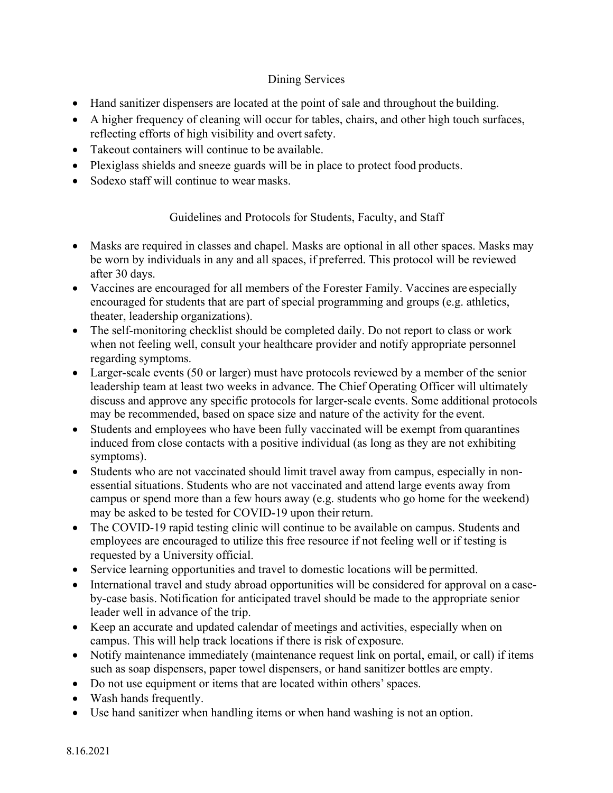# Dining Services

- Hand sanitizer dispensers are located at the point of sale and throughout the building.
- A higher frequency of cleaning will occur for tables, chairs, and other high touch surfaces, reflecting efforts of high visibility and overt safety.
- Takeout containers will continue to be available.
- Plexiglass shields and sneeze guards will be in place to protect food products.
- Sodexo staff will continue to wear masks.

Guidelines and Protocols for Students, Faculty, and Staff

- Masks are required in classes and chapel. Masks are optional in all other spaces. Masks may be worn by individuals in any and all spaces, if preferred. This protocol will be reviewed after 30 days.
- Vaccines are encouraged for all members of the Forester Family. Vaccines are especially encouraged for students that are part of special programming and groups (e.g. athletics, theater, leadership organizations).
- The self-monitoring checklist should be completed daily. Do not report to class or work when not feeling well, consult your healthcare provider and notify appropriate personnel regarding symptoms.
- Larger-scale events (50 or larger) must have protocols reviewed by a member of the senior leadership team at least two weeks in advance. The Chief Operating Officer will ultimately discuss and approve any specific protocols for larger-scale events. Some additional protocols may be recommended, based on space size and nature of the activity for the event.
- Students and employees who have been fully vaccinated will be exempt from quarantines induced from close contacts with a positive individual (as long as they are not exhibiting symptoms).
- Students who are not vaccinated should limit travel away from campus, especially in nonessential situations. Students who are not vaccinated and attend large events away from campus or spend more than a few hours away (e.g. students who go home for the weekend) may be asked to be tested for COVID-19 upon their return.
- The COVID-19 rapid testing clinic will continue to be available on campus. Students and employees are encouraged to utilize this free resource if not feeling well or if testing is requested by a University official.
- Service learning opportunities and travel to domestic locations will be permitted.
- International travel and study abroad opportunities will be considered for approval on a caseby-case basis. Notification for anticipated travel should be made to the appropriate senior leader well in advance of the trip.
- Keep an accurate and updated calendar of meetings and activities, especially when on campus. This will help track locations if there is risk of exposure.
- Notify maintenance immediately (maintenance request link on portal, email, or call) if items such as soap dispensers, paper towel dispensers, or hand sanitizer bottles are empty.
- Do not use equipment or items that are located within others' spaces.
- Wash hands frequently.
- Use hand sanitizer when handling items or when hand washing is not an option.